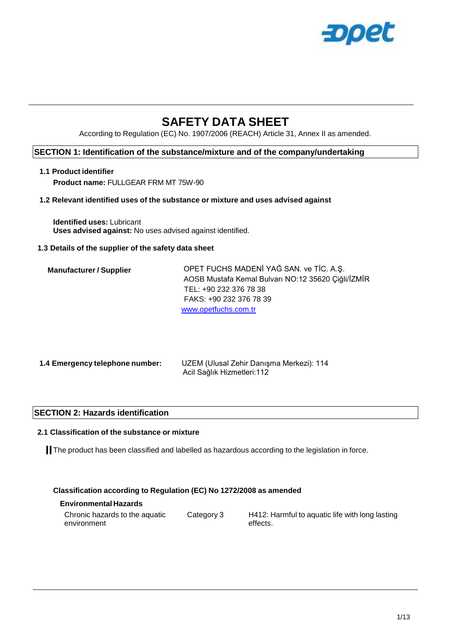

# **SAFETY DATA SHEET**

According to Regulation (EC) No. 1907/2006 (REACH) Article 31, Annex II as amended.

#### **SECTION 1: Identification of the substance/mixture and of the company/undertaking**

#### **1.1 Product identifier Product name:** FULLGEAR FRM MT 75W-90

#### **1.2 Relevant identified uses of the substance or mixture and uses advised against**

**Identified uses:** Lubricant **Uses advised against:** No uses advised against identified.

#### **1.3 Details of the supplier of the safety data sheet**

| <b>Manufacturer / Supplier</b> | OPET FUCHS MADENI YAĞ SAN. ve TİC. A.Ş.            |
|--------------------------------|----------------------------------------------------|
|                                | AOSB Mustafa Kemal Bulvarı NO:12 35620 Çiğli/İZMİR |
|                                | TEL: +90 232 376 78 38                             |
|                                | FAKS: +90 232 376 78 39                            |
|                                | www.opetfuchs.com.tr                               |

| 1.4 Emergency telephone number: | UZEM (Ulusal Zehir Danışma Merkezi): 114 |
|---------------------------------|------------------------------------------|
|                                 | Acil Sağlık Hizmetleri: 112              |

#### **SECTION 2: Hazards identification**

#### **2.1 Classification of the substance or mixture**

The product has been classified and labelled as hazardous according to the legislation in force.

#### **Classification according to Regulation (EC) No 1272/2008 as amended**

#### **Environmental Hazards**

| Chronic hazards to the aquatic | Category 3 | H412: Harmful to aquatic life with long lasting |
|--------------------------------|------------|-------------------------------------------------|
| environment                    |            | effects.                                        |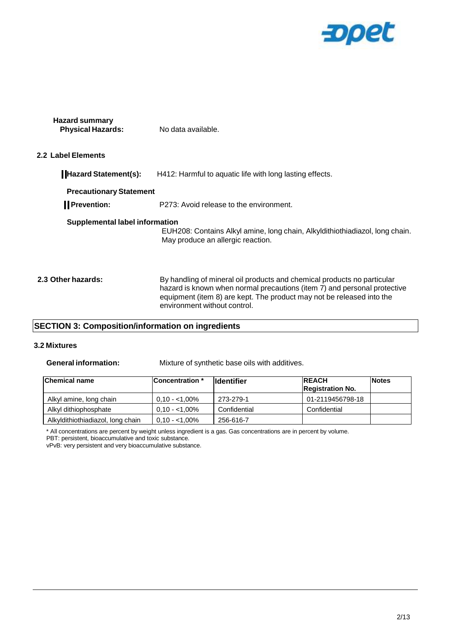

| <b>Hazard summary</b><br><b>Physical Hazards:</b> | No data available. |
|---------------------------------------------------|--------------------|
|                                                   |                    |

#### **2.2 Label Elements**

| Hazard Statement(s):                  | H412: Harmful to aquatic life with long lasting effects.                                                                                            |
|---------------------------------------|-----------------------------------------------------------------------------------------------------------------------------------------------------|
| <b>Precautionary Statement</b>        |                                                                                                                                                     |
| <b>I</b> Prevention:                  | P273: Avoid release to the environment.                                                                                                             |
| <b>Supplemental label information</b> | EUH208: Contains Alkyl amine, long chain, Alkyldithiothiadiazol, long chain.<br>May produce an allergic reaction.                                   |
| 2.3 Other hazards:                    | By handling of mineral oil products and chemical products no particular<br>hazard is known when normal precautions (item 7) and personal protective |

equipment (item 8) are kept. The product may not be released into the

### **SECTION 3: Composition/information on ingredients**

#### **3.2 Mixtures**

**General information:** Mixture of synthetic base oils with additives.

environment without control.

| <b>Chemical name</b>              | lConcentration * | <b>Ildentifier</b> | <b>REACH</b><br><b>Registration No.</b> | <b>Notes</b> |
|-----------------------------------|------------------|--------------------|-----------------------------------------|--------------|
| Alkyl amine, long chain           | $0.10 - 1.00\%$  | 273-279-1          | 01-2119456798-18                        |              |
| Alkyl dithiophosphate             | $0.10 - 1.00\%$  | Confidential       | Confidential                            |              |
| Alkyldithiothiadiazol, long chain | $0.10 - 1.00\%$  | 256-616-7          |                                         |              |

\* All concentrations are percent by weight unless ingredient is a gas. Gas concentrations are in percent by volume.

PBT: persistent, bioaccumulative and toxic substance.

vPvB: very persistent and very bioaccumulative substance.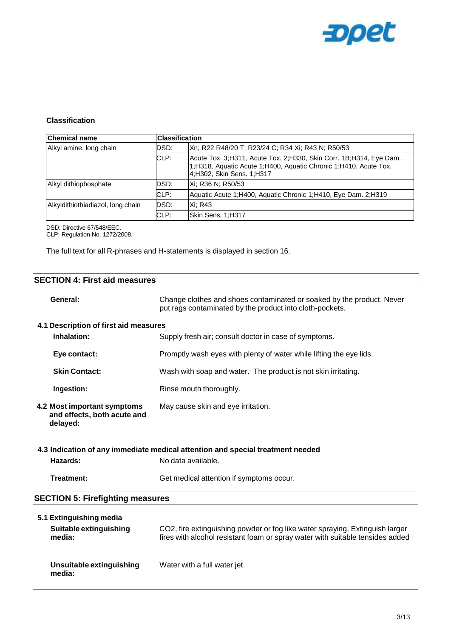

#### **Classification**

| <b>Chemical name</b>              |      | <b>Classification</b>                                                                                                                                                  |  |
|-----------------------------------|------|------------------------------------------------------------------------------------------------------------------------------------------------------------------------|--|
| Alkyl amine, long chain           | DSD: | Xn; R22 R48/20 T; R23/24 C; R34 Xi; R43 N; R50/53                                                                                                                      |  |
|                                   | CLP: | Acute Tox. 3; H311, Acute Tox. 2; H330, Skin Corr. 1B; H314, Eye Dam.<br>1;H318, Aquatic Acute 1;H400, Aquatic Chronic 1;H410, Acute Tox.<br>4;H302, Skin Sens. 1;H317 |  |
| Alkyl dithiophosphate             | DSD: | IXi: R36 N: R50/53                                                                                                                                                     |  |
|                                   | CLP: | Aquatic Acute 1; H400, Aquatic Chronic 1; H410, Eye Dam. 2; H319                                                                                                       |  |
| Alkyldithiothiadiazol, long chain | DSD: | <b>Xi: R43</b>                                                                                                                                                         |  |
|                                   | CLP: | Skin Sens. 1;H317                                                                                                                                                      |  |

DSD: Directive 67/548/EEC.

CLP: Regulation No. 1272/2008.

The full text for all R-phrases and H-statements is displayed in section 16.

| <b>SECTION 4: First aid measures</b>                                   |                                                                                                                                                               |  |
|------------------------------------------------------------------------|---------------------------------------------------------------------------------------------------------------------------------------------------------------|--|
| General:                                                               | Change clothes and shoes contaminated or soaked by the product. Never<br>put rags contaminated by the product into cloth-pockets.                             |  |
| 4.1 Description of first aid measures                                  |                                                                                                                                                               |  |
| Inhalation:                                                            | Supply fresh air; consult doctor in case of symptoms.                                                                                                         |  |
| Eye contact:                                                           | Promptly wash eyes with plenty of water while lifting the eye lids.                                                                                           |  |
| <b>Skin Contact:</b>                                                   | Wash with soap and water. The product is not skin irritating.                                                                                                 |  |
| Ingestion:                                                             | Rinse mouth thoroughly.                                                                                                                                       |  |
| 4.2 Most important symptoms<br>and effects, both acute and<br>delayed: | May cause skin and eye irritation.                                                                                                                            |  |
|                                                                        | 4.3 Indication of any immediate medical attention and special treatment needed                                                                                |  |
| Hazards:                                                               | No data available.                                                                                                                                            |  |
| Treatment:                                                             | Get medical attention if symptoms occur.                                                                                                                      |  |
| <b>SECTION 5: Firefighting measures</b>                                |                                                                                                                                                               |  |
| 5.1 Extinguishing media                                                |                                                                                                                                                               |  |
| Suitable extinguishing<br>media:                                       | CO2, fire extinguishing powder or fog like water spraying. Extinguish larger<br>fires with alcohol resistant foam or spray water with suitable tensides added |  |
| Unsuitable extinguishing<br>media:                                     | Water with a full water jet.                                                                                                                                  |  |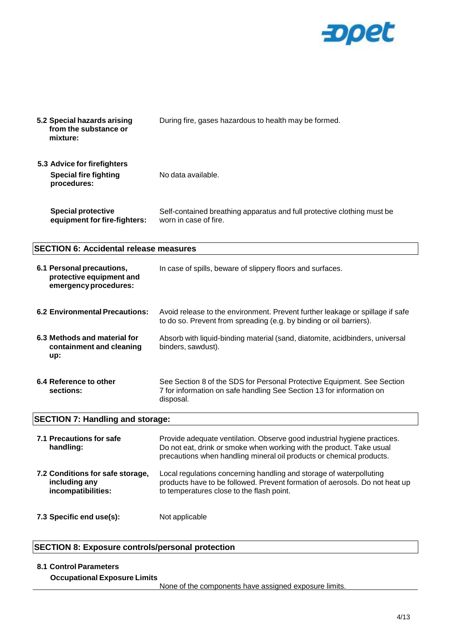

| 5.2 Special hazards arising<br>from the substance or<br>mixture:               | During fire, gases hazardous to health may be formed.                                                                                                                                                                    |
|--------------------------------------------------------------------------------|--------------------------------------------------------------------------------------------------------------------------------------------------------------------------------------------------------------------------|
| 5.3 Advice for firefighters<br><b>Special fire fighting</b><br>procedures:     | No data available.                                                                                                                                                                                                       |
| <b>Special protective</b><br>equipment for fire-fighters:                      | Self-contained breathing apparatus and full protective clothing must be<br>worn in case of fire.                                                                                                                         |
| <b>SECTION 6: Accidental release measures</b>                                  |                                                                                                                                                                                                                          |
| 6.1 Personal precautions,<br>protective equipment and<br>emergency procedures: | In case of spills, beware of slippery floors and surfaces.                                                                                                                                                               |
| <b>6.2 Environmental Precautions:</b>                                          | Avoid release to the environment. Prevent further leakage or spillage if safe<br>to do so. Prevent from spreading (e.g. by binding or oil barriers).                                                                     |
| 6.3 Methods and material for<br>containment and cleaning<br>up:                | Absorb with liquid-binding material (sand, diatomite, acidbinders, universal<br>binders, sawdust).                                                                                                                       |
| 6.4 Reference to other<br>sections:                                            | See Section 8 of the SDS for Personal Protective Equipment. See Section<br>7 for information on safe handling See Section 13 for information on<br>disposal.                                                             |
| <b>SECTION 7: Handling and storage:</b>                                        |                                                                                                                                                                                                                          |
| 7.1 Precautions for safe<br>handling:                                          | Provide adequate ventilation. Observe good industrial hygiene practices.<br>Do not eat, drink or smoke when working with the product. Take usual<br>precautions when handling mineral oil products or chemical products. |
| 7.2 Conditions for safe storage,<br>including any<br>incompatibilities:        | Local regulations concerning handling and storage of waterpolluting<br>products have to be followed. Prevent formation of aerosols. Do not heat up<br>to temperatures close to the flash point.                          |
| 7.3 Specific end use(s):                                                       | Not applicable                                                                                                                                                                                                           |

## **SECTION 8: Exposure controls/personal protection**

#### **8.1 Control Parameters**

**Occupational Exposure Limits**

None of the components have assigned exposure limits.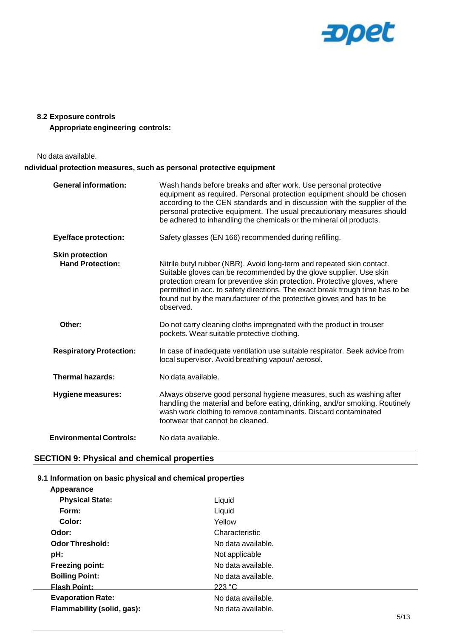

#### **8.2 Exposure controls**

**Appropriate engineering controls:**

No data available.

#### **ndividual protection measures, such as personal protective equipment**

| <b>General information:</b>                       | Wash hands before breaks and after work. Use personal protective<br>equipment as required. Personal protection equipment should be chosen<br>according to the CEN standards and in discussion with the supplier of the<br>personal protective equipment. The usual precautionary measures should<br>be adhered to inhandling the chemicals or the mineral oil products.                         |
|---------------------------------------------------|-------------------------------------------------------------------------------------------------------------------------------------------------------------------------------------------------------------------------------------------------------------------------------------------------------------------------------------------------------------------------------------------------|
| <b>Eye/face protection:</b>                       | Safety glasses (EN 166) recommended during refilling.                                                                                                                                                                                                                                                                                                                                           |
| <b>Skin protection</b><br><b>Hand Protection:</b> | Nitrile butyl rubber (NBR). Avoid long-term and repeated skin contact.<br>Suitable gloves can be recommended by the glove supplier. Use skin<br>protection cream for preventive skin protection. Protective gloves, where<br>permitted in acc. to safety directions. The exact break trough time has to be<br>found out by the manufacturer of the protective gloves and has to be<br>observed. |
| Other:                                            | Do not carry cleaning cloths impregnated with the product in trouser<br>pockets. Wear suitable protective clothing.                                                                                                                                                                                                                                                                             |
| <b>Respiratory Protection:</b>                    | In case of inadequate ventilation use suitable respirator. Seek advice from<br>local supervisor. Avoid breathing vapour/aerosol.                                                                                                                                                                                                                                                                |
| <b>Thermal hazards:</b>                           | No data available.                                                                                                                                                                                                                                                                                                                                                                              |
| <b>Hygiene measures:</b>                          | Always observe good personal hygiene measures, such as washing after<br>handling the material and before eating, drinking, and/or smoking. Routinely<br>wash work clothing to remove contaminants. Discard contaminated<br>footwear that cannot be cleaned.                                                                                                                                     |
| <b>Environmental Controls:</b>                    | No data available.                                                                                                                                                                                                                                                                                                                                                                              |

## **SECTION 9: Physical and chemical properties**

#### **9.1 Information on basic physical and chemical properties**

| Appearance                 |                    |      |
|----------------------------|--------------------|------|
| <b>Physical State:</b>     | Liquid             |      |
| Form:                      | Liquid             |      |
| Color:                     | Yellow             |      |
| Odor:                      | Characteristic     |      |
| <b>Odor Threshold:</b>     | No data available. |      |
| pH:                        | Not applicable     |      |
| <b>Freezing point:</b>     | No data available. |      |
| <b>Boiling Point:</b>      | No data available. |      |
| <b>Flash Point:</b>        | 223 °C             |      |
| <b>Evaporation Rate:</b>   | No data available. |      |
| Flammability (solid, gas): | No data available. |      |
|                            |                    | 5/12 |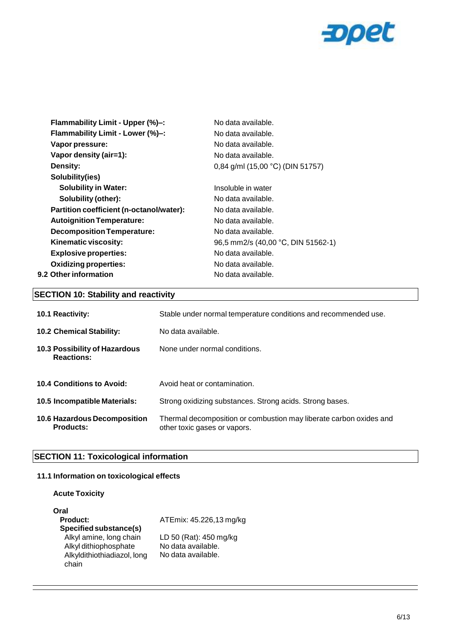

| Flammability Limit - Upper (%)-:         | No data available.                 |
|------------------------------------------|------------------------------------|
| Flammability Limit - Lower (%)-:         | No data available.                 |
| Vapor pressure:                          | No data available.                 |
| Vapor density (air=1):                   | No data available.                 |
| Density:                                 | 0,84 g/ml (15,00 °C) (DIN 51757)   |
| Solubility(ies)                          |                                    |
| <b>Solubility in Water:</b>              | Insoluble in water                 |
| Solubility (other):                      | No data available.                 |
| Partition coefficient (n-octanol/water): | No data available.                 |
| <b>Autoignition Temperature:</b>         | No data available.                 |
| <b>Decomposition Temperature:</b>        | No data available.                 |
| Kinematic viscosity:                     | 96,5 mm2/s (40,00 °C, DIN 51562-1) |
| <b>Explosive properties:</b>             | No data available.                 |
| <b>Oxidizing properties:</b>             | No data available.                 |
| 9.2 Other information                    | No data available.                 |
|                                          |                                    |

## **SECTION 10: Stability and reactivity**

| <b>10.1 Reactivity:</b>                            | Stable under normal temperature conditions and recommended use.                                    |
|----------------------------------------------------|----------------------------------------------------------------------------------------------------|
| <b>10.2 Chemical Stability:</b>                    | No data available.                                                                                 |
| 10.3 Possibility of Hazardous<br><b>Reactions:</b> | None under normal conditions.                                                                      |
| 10.4 Conditions to Avoid:                          | Avoid heat or contamination.                                                                       |
| <b>10.5 Incompatible Materials:</b>                | Strong oxidizing substances. Strong acids. Strong bases.                                           |
| 10.6 Hazardous Decomposition<br><b>Products:</b>   | Thermal decomposition or combustion may liberate carbon oxides and<br>other toxic gases or vapors. |

## **SECTION 11: Toxicological information**

#### **11.1 Information on toxicological effects**

**Acute Toxicity**

| Oral                        |                         |
|-----------------------------|-------------------------|
| <b>Product:</b>             | ATEmix: 45.226,13 mg/kg |
| Specified substance(s)      |                         |
| Alkyl amine, long chain     | LD 50 (Rat): 450 mg/kg  |
| Alkyl dithiophosphate       | No data available.      |
| Alkyldithiothiadiazol, long | No data available.      |
| chain                       |                         |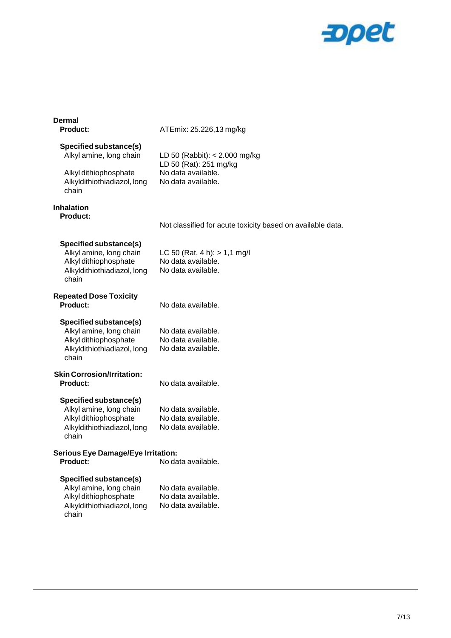

| <b>Dermal</b><br><b>Product:</b>                                                                                          | ATEmix: 25.226,13 mg/kg                                                                               |
|---------------------------------------------------------------------------------------------------------------------------|-------------------------------------------------------------------------------------------------------|
| Specified substance(s)<br>Alkyl amine, long chain<br>Alkyl dithiophosphate<br>Alkyldithiothiadiazol, long<br>chain        | LD 50 (Rabbit): $<$ 2.000 mg/kg<br>LD 50 (Rat): 251 mg/kg<br>No data available.<br>No data available. |
| <b>Inhalation</b><br><b>Product:</b>                                                                                      | Not classified for acute toxicity based on available data.                                            |
| Specified substance(s)<br>Alkyl amine, long chain<br>Alkyl dithiophosphate<br>Alkyldithiothiadiazol, long<br>chain        | LC 50 (Rat, 4 h): $> 1.1$ mg/l<br>No data available.<br>No data available.                            |
| <b>Repeated Dose Toxicity</b><br>Product:                                                                                 | No data available.                                                                                    |
| Specified substance(s)<br>Alkyl amine, long chain<br>Alkyl dithiophosphate<br>Alkyldithiothiadiazol, long<br>chain        | No data available.<br>No data available.<br>No data available.                                        |
| <b>Skin Corrosion/Irritation:</b><br>Product:                                                                             | No data available.                                                                                    |
| Specified substance(s)<br>Alkyl amine, long chain<br>Alkyl dithiophosphate<br>Alkyldithiothiadiazol, long<br>chain        | No data available.<br>No data available.<br>No data available.                                        |
| <b>Serious Eye Damage/Eye Irritation:</b><br>Product:                                                                     | No data available.                                                                                    |
| <b>Specified substance(s)</b><br>Alkyl amine, long chain<br>Alkyl dithiophosphate<br>Alkyldithiothiadiazol, long<br>chain | No data available.<br>No data available.<br>No data available.                                        |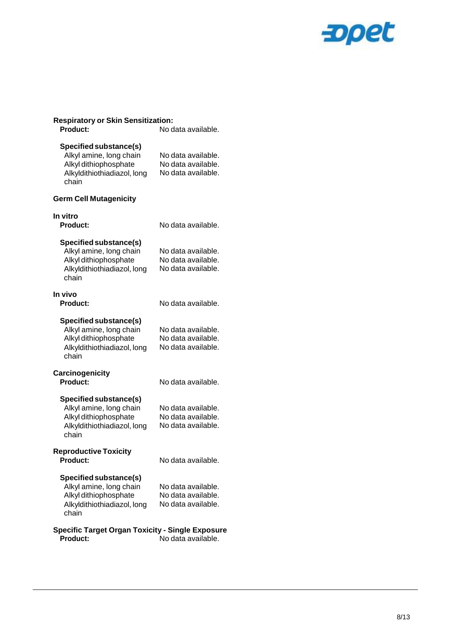

| <b>Respiratory or Skin Sensitization:</b>                                                                                 |                                                                |
|---------------------------------------------------------------------------------------------------------------------------|----------------------------------------------------------------|
| Product:                                                                                                                  | No data available.                                             |
| Specified substance(s)<br>Alkyl amine, long chain<br>Alkyl dithiophosphate<br>Alkyldithiothiadiazol, long<br>chain        | No data available.<br>No data available.<br>No data available. |
| <b>Germ Cell Mutagenicity</b>                                                                                             |                                                                |
| In vitro<br><b>Product:</b>                                                                                               | No data available.                                             |
| Specified substance(s)<br>Alkyl amine, long chain<br>Alkyl dithiophosphate<br>Alkyldithiothiadiazol, long<br>chain        | No data available.<br>No data available.<br>No data available. |
| In vivo<br>Product:                                                                                                       | No data available.                                             |
| <b>Specified substance(s)</b><br>Alkyl amine, long chain<br>Alkyl dithiophosphate<br>Alkyldithiothiadiazol, long<br>chain | No data available.<br>No data available.<br>No data available. |
| Carcinogenicity<br>Product:                                                                                               | No data available.                                             |
| Specified substance(s)<br>Alkyl amine, long chain<br>Alkyl dithiophosphate<br>Alkyldithiothiadiazol, long<br>chain        | No data available.<br>No data available.<br>No data available. |
| <b>Reproductive Toxicity</b><br><b>Product:</b>                                                                           | No data available.                                             |
| <b>Specified substance(s)</b><br>Alkyl amine, long chain<br>Alkyl dithiophosphate<br>Alkyldithiothiadiazol, long<br>chain | No data available.<br>No data available.<br>No data available. |
| <b>Specific Target Organ Toxicity - Single Exposure</b><br>Product:                                                       | No data available.                                             |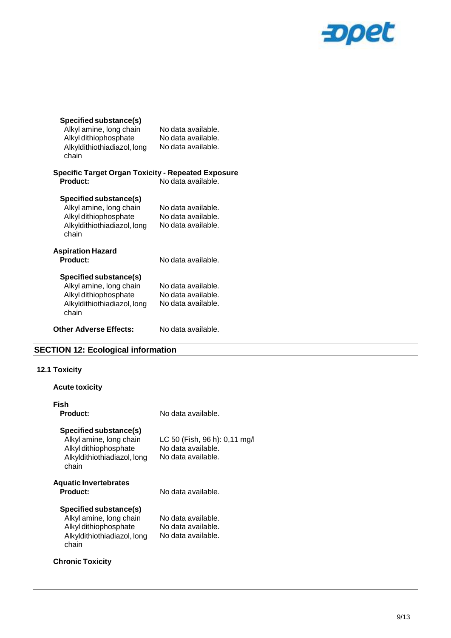

| Specified substance(s)<br>Alkyl amine, long chain<br>Alkyl dithiophosphate<br>Alkyldithiothiadiazol, long<br>chain | No data available.<br>No data available.<br>No data available. |
|--------------------------------------------------------------------------------------------------------------------|----------------------------------------------------------------|
| <b>Specific Target Organ Toxicity - Repeated Exposure</b><br>Product:                                              | No data available.                                             |
| Specified substance(s)<br>Alkyl amine, long chain<br>Alkyl dithiophosphate<br>Alkyldithiothiadiazol, long<br>chain | No data available.<br>No data available.<br>No data available. |
| <b>Aspiration Hazard</b><br>Product:                                                                               | No data available.                                             |
| Specified substance(s)<br>Alkyl amine, long chain<br>Alkyl dithiophosphate<br>Alkyldithiothiadiazol, long<br>chain | No data available.<br>No data available.<br>No data available. |
| <b>Other Adverse Effects:</b>                                                                                      | No data available.                                             |

# **SECTION 12: Ecological information**

## **12.1 Toxicity**

**Acute toxicity**

| No data available.                                                        |
|---------------------------------------------------------------------------|
| LC 50 (Fish, 96 h): 0,11 mg/l<br>No data available.<br>No data available. |
| No data available.                                                        |
| No data available.<br>No data available.<br>No data available.            |
|                                                                           |
|                                                                           |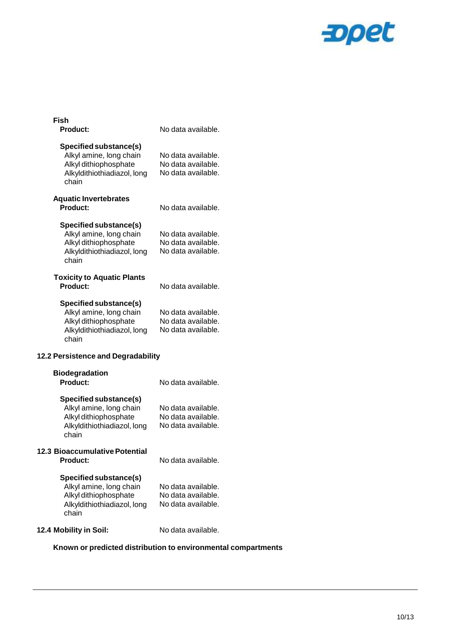

| Fish                                  |                    |
|---------------------------------------|--------------------|
| <b>Product:</b>                       | No data available. |
| <b>Specified substance(s)</b>         |                    |
| Alkyl amine, long chain               | No data available. |
| Alkyl dithiophosphate                 | No data available. |
| Alkyldithiothiadiazol, long<br>chain  | No data available. |
| <b>Aquatic Invertebrates</b>          |                    |
| <b>Product:</b>                       | No data available. |
| <b>Specified substance(s)</b>         |                    |
| Alkyl amine, long chain               | No data available. |
| Alkyl dithiophosphate                 | No data available. |
| Alkyldithiothiadiazol, long<br>chain  | No data available. |
| <b>Toxicity to Aquatic Plants</b>     |                    |
| Product:                              | No data available. |
| Specified substance(s)                |                    |
| Alkyl amine, long chain               | No data available. |
| Alkyl dithiophosphate                 | No data available. |
| Alkyldithiothiadiazol, long<br>chain  | No data available. |
| 12.2 Persistence and Degradability    |                    |
| <b>Biodegradation</b>                 |                    |
| <b>Product:</b>                       | No data available. |
| Specified substance(s)                |                    |
| Alkyl amine, long chain               | No data available. |
| Alkyl dithiophosphate                 | No data available. |
| Alkyldithiothiadiazol, long<br>chain  | No data available. |
| <b>12.3 Bioaccumulative Potential</b> |                    |
| Product:                              | No data available. |
| Specified substance(s)                |                    |
| Alkyl amine, long chain               | No data available. |
| Alkyl dithiophosphate                 | No data available. |
| Alkyldithiothiadiazol, long<br>chain  | No data available. |
| 12.4 Mobility in Soil:                | No data available. |
|                                       |                    |

## **Known or predicted distribution to environmental compartments**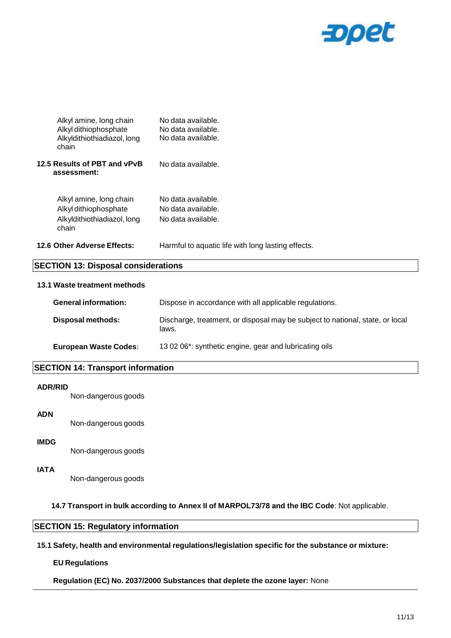

| <b>SECTION 13: Disposal considerations</b>                                               |                                                                |  |
|------------------------------------------------------------------------------------------|----------------------------------------------------------------|--|
| 12.6 Other Adverse Effects:                                                              | Harmful to aquatic life with long lasting effects.             |  |
| Alkyl amine, long chain<br>Alkyl dithiophosphate<br>Alkyldithiothiadiazol, long<br>chain | No data available.<br>No data available.<br>No data available. |  |
| 12.5 Results of PBT and vPvB<br>assessment:                                              | No data available.                                             |  |
| Alkyl amine, long chain<br>Alkyl dithiophosphate<br>Alkyldithiothiadiazol, long<br>chain | No data available.<br>No data available.<br>No data available. |  |

#### **13.1 Waste treatment methods**

| <b>General information:</b>  | Dispose in accordance with all applicable regulations.                                 |
|------------------------------|----------------------------------------------------------------------------------------|
| Disposal methods:            | Discharge, treatment, or disposal may be subject to national, state, or local<br>laws. |
| <b>European Waste Codes:</b> | 13 02 06*: synthetic engine, gear and lubricating oils                                 |

#### **SECTION 14: Transport information**

#### **ADR/RID**

Non-dangerous goods

#### **ADN**

Non-dangerous goods

#### **IMDG**

Non-dangerous goods

### **IATA**

Non-dangerous goods

**14.7 Transport in bulk according to Annex II of MARPOL73/78 and the IBC Code**: Not applicable.

#### **SECTION 15: Regulatory information**

#### **15.1 Safety, health and environmental regulations/legislation specific for the substance or mixture:**

#### **EU Regulations**

**Regulation (EC) No. 2037/2000 Substances that deplete the ozone layer:** None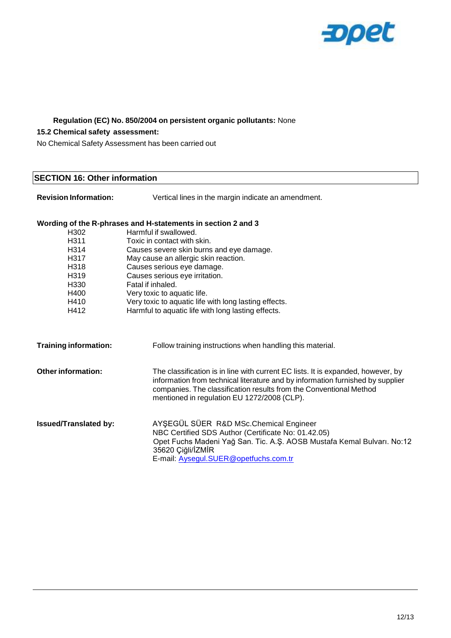

#### **Regulation (EC) No. 850/2004 on persistent organic pollutants:** None

#### **15.2 Chemical safety assessment:**

No Chemical Safety Assessment has been carried out

#### **SECTION 16: Other information**

**Revision Information:** Vertical lines in the margin indicate an amendment.

**Training information:** Follow training instructions when handling this material.

#### **Wording of the R-phrases and H-statements in section 2 and 3**

|                   | יש פו מוס וג פוויסטס מווט וו סמסטווטוונט ווו טסטמוטוו ב מווט ט |
|-------------------|----------------------------------------------------------------|
| H302              | Harmful if swallowed.                                          |
| H <sub>3</sub> 11 | Toxic in contact with skin.                                    |
| H314              | Causes severe skin burns and eye damage.                       |
| H317              | May cause an allergic skin reaction.                           |
| H318              | Causes serious eye damage.                                     |
| H319              | Causes serious eye irritation.                                 |
| H330              | Fatal if inhaled.                                              |
| H400              | Very toxic to aquatic life.                                    |
| H410              | Very toxic to aquatic life with long lasting effects.          |
| H412              | Harmful to aquatic life with long lasting effects.             |
|                   |                                                                |
|                   |                                                                |
|                   |                                                                |

| Other information: | The classification is in line with current EC lists. It is expanded, however, by<br>information from technical literature and by information furnished by supplier<br>companies. The classification results from the Conventional Method<br>mentioned in regulation EU 1272/2008 (CLP). |
|--------------------|-----------------------------------------------------------------------------------------------------------------------------------------------------------------------------------------------------------------------------------------------------------------------------------------|
|                    |                                                                                                                                                                                                                                                                                         |

**Issued/Translated by:** AYŞEGÜL SÜER R&D MSc.Chemical Engineer NBC Certified SDS Author (Certificate No: 01.42.05) Opet Fuchs Madeni Yağ San. Tic. A.Ş. AOSB Mustafa Kemal Bulvarı. No:12 35620 Çiğli/İZMİR E-mail: [Aysegul.SUER@opetfuchs.com.tr](mailto:Aysegul.SUER@opetfuchs.com.tr)